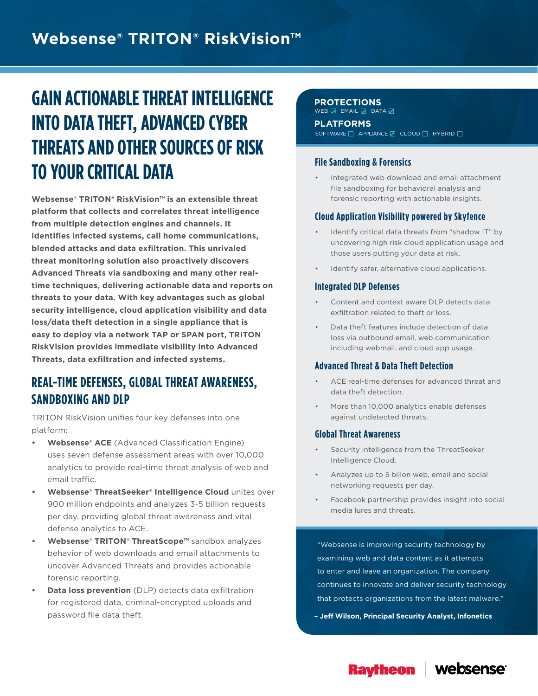# **Websense® TRITON® RiskVision™**

# **GAIN ACTIONABLE THREAT INTELLIGENCE INTO DATA THEFT, ADVANCED CYBER THREATS AND OTHER SOURCES OF RISK TO YOUR CRITICAL DATA**

**Websense® TRITON® RiskVision™ is an extensible threat platform that collects and correlates threat intelligence from multiple detection engines and channels. It identifies infected systems, call home communications, blended attacks and data exfiltration. This unrivaled threat monitoring solution also proactively discovers Advanced Threats via sandboxing and many other realtime techniques, delivering actionable data and reports on threats to your data. With key advantages such as global security intelligence, cloud application visibility and data loss/data theft detection in a single appliance that is easy to deploy via a network TAP or SPAN port, TRITON RiskVision provides immediate visibility into Advanced Threats, data exfiltration and infected systems.**

### **REAL-TIME DEFENSES, GLOBAL THREAT AWARENESS, SANDBOXING AND DLP**

TRITON RiskVision unifies four key defenses into one platform:

- **• Websense® ACE** (Advanced Classification Engine) uses seven defense assessment areas with over 10,000 analytics to provide real-time threat analysis of web and email traffic.
- **• Websense® ThreatSeeker® Intelligence Cloud** unites over 900 million endpoints and analyzes 3-5 billion requests per day, providing global threat awareness and vital defense analytics to ACE.
- **• Websense® TRITON® ThreatScope™** sandbox analyzes behavior of web downloads and email attachments to uncover Advanced Threats and provides actionable forensic reporting.
- **• Data loss prevention** (DLP) detects data exfiltration for registered data, criminal-encrypted uploads and password file data theft.

#### **PROTECTIONS**

**PLATFORMS** SOFTWARE **APPLIANCE** CLOUD **A** HYBRID  $WEB \nsubseteq$  email  $\subseteq$  data

#### **File Sandboxing & Forensics**

• Integrated web download and email attachment file sandboxing for behavioral analysis and forensic reporting with actionable insights.

#### **Cloud Application Visibility powered by Skyfence**

- Identify critical data threats from "shadow IT" by uncovering high risk cloud application usage and those users putting your data at risk.
- Identify safer, alternative cloud applications.

#### **Integrated DLP Defenses**

- Content and context aware DLP detects data exfiltration related to theft or loss.
- Data theft features include detection of data loss via outbound email, web communication including webmail, and cloud app usage.

#### **Advanced Threat & Data Theft Detection**

- ACE real-time defenses for advanced threat and data theft detection.
- More than 10,000 analytics enable defenses against undetected threats.

#### **Global Threat Awareness**

- Security intelligence from the ThreatSeeker Intelligence Cloud.
- Analyzes up to 5 billon web, email and social networking requests per day.
- Facebook partnership provides insight into social media lures and threats.

"Websense is improving security technology by examining web and data content as it attempts to enter and leave an organization. The company continues to innovate and deliver security technology that protects organizations from the latest malware."

**– Jeff Wilson, Principal Security Analyst, Infonetics**